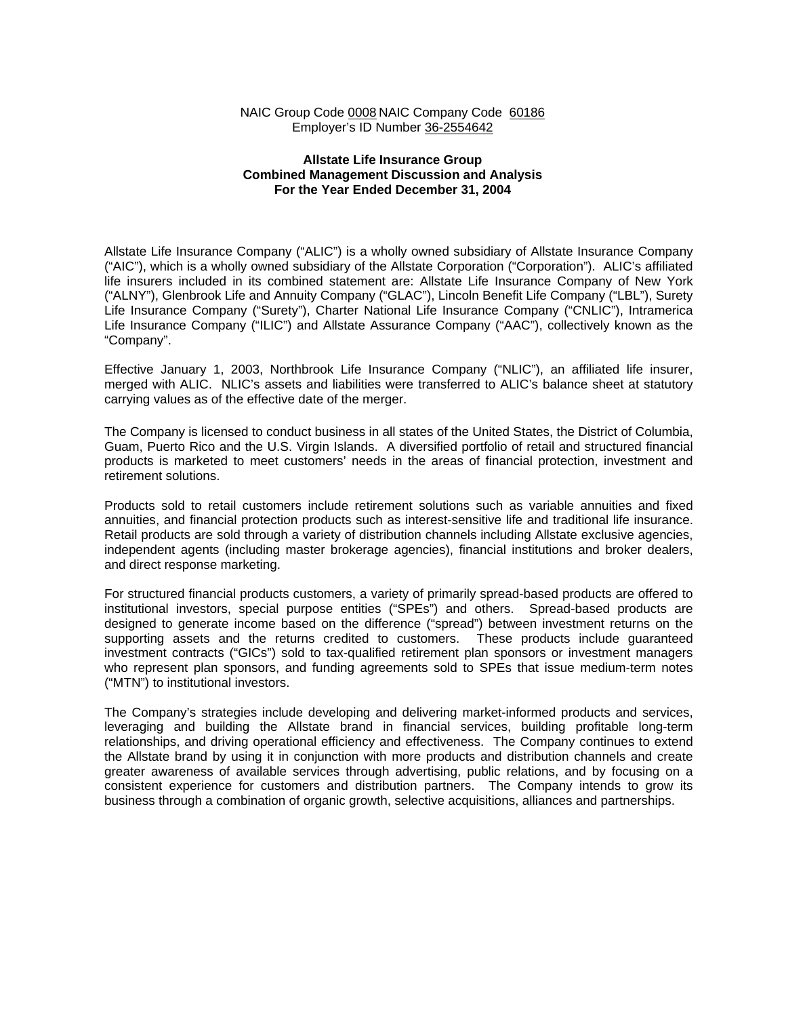### NAIC Group Code 0008 NAIC Company Code 60186 Employer's ID Number 36-2554642

### **Allstate Life Insurance Group Combined Management Discussion and Analysis For the Year Ended December 31, 2004**

Allstate Life Insurance Company ("ALIC") is a wholly owned subsidiary of Allstate Insurance Company ("AIC"), which is a wholly owned subsidiary of the Allstate Corporation ("Corporation"). ALIC's affiliated life insurers included in its combined statement are: Allstate Life Insurance Company of New York ("ALNY"), Glenbrook Life and Annuity Company ("GLAC"), Lincoln Benefit Life Company ("LBL"), Surety Life Insurance Company ("Surety"), Charter National Life Insurance Company ("CNLIC"), Intramerica Life Insurance Company ("ILIC") and Allstate Assurance Company ("AAC"), collectively known as the "Company".

Effective January 1, 2003, Northbrook Life Insurance Company ("NLIC"), an affiliated life insurer, merged with ALIC. NLIC's assets and liabilities were transferred to ALIC's balance sheet at statutory carrying values as of the effective date of the merger.

The Company is licensed to conduct business in all states of the United States, the District of Columbia, Guam, Puerto Rico and the U.S. Virgin Islands. A diversified portfolio of retail and structured financial products is marketed to meet customers' needs in the areas of financial protection, investment and retirement solutions.

Products sold to retail customers include retirement solutions such as variable annuities and fixed annuities, and financial protection products such as interest-sensitive life and traditional life insurance. Retail products are sold through a variety of distribution channels including Allstate exclusive agencies, independent agents (including master brokerage agencies), financial institutions and broker dealers, and direct response marketing.

For structured financial products customers, a variety of primarily spread-based products are offered to institutional investors, special purpose entities ("SPEs") and others. Spread-based products are designed to generate income based on the difference ("spread") between investment returns on the supporting assets and the returns credited to customers. These products include guaranteed investment contracts ("GICs") sold to tax-qualified retirement plan sponsors or investment managers who represent plan sponsors, and funding agreements sold to SPEs that issue medium-term notes ("MTN") to institutional investors.

The Company's strategies include developing and delivering market-informed products and services, leveraging and building the Allstate brand in financial services, building profitable long-term relationships, and driving operational efficiency and effectiveness. The Company continues to extend the Allstate brand by using it in conjunction with more products and distribution channels and create greater awareness of available services through advertising, public relations, and by focusing on a consistent experience for customers and distribution partners. The Company intends to grow its business through a combination of organic growth, selective acquisitions, alliances and partnerships.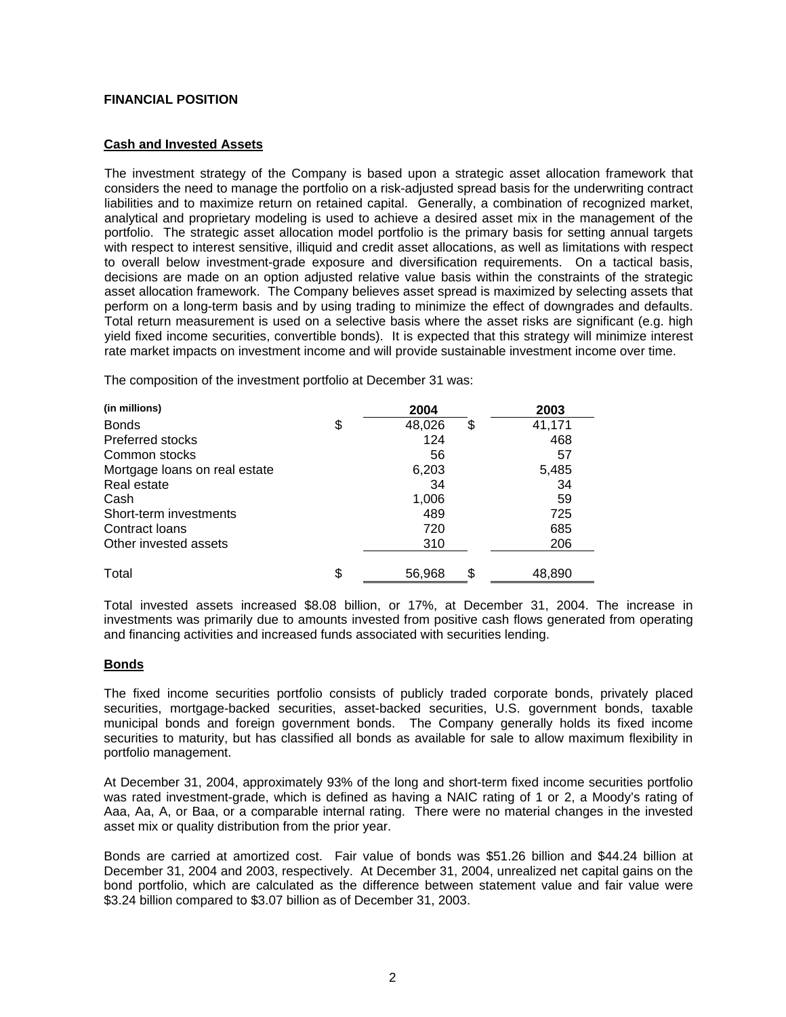# **FINANCIAL POSITION**

## **Cash and Invested Assets**

The investment strategy of the Company is based upon a strategic asset allocation framework that considers the need to manage the portfolio on a risk-adjusted spread basis for the underwriting contract liabilities and to maximize return on retained capital. Generally, a combination of recognized market, analytical and proprietary modeling is used to achieve a desired asset mix in the management of the portfolio. The strategic asset allocation model portfolio is the primary basis for setting annual targets with respect to interest sensitive, illiquid and credit asset allocations, as well as limitations with respect to overall below investment-grade exposure and diversification requirements. On a tactical basis, decisions are made on an option adjusted relative value basis within the constraints of the strategic asset allocation framework. The Company believes asset spread is maximized by selecting assets that perform on a long-term basis and by using trading to minimize the effect of downgrades and defaults. Total return measurement is used on a selective basis where the asset risks are significant (e.g. high yield fixed income securities, convertible bonds). It is expected that this strategy will minimize interest rate market impacts on investment income and will provide sustainable investment income over time.

| (in millions)                 | 2004               | 2003   |
|-------------------------------|--------------------|--------|
| <b>Bonds</b>                  | \$<br>48,026<br>\$ | 41,171 |
| <b>Preferred stocks</b>       | 124                | 468    |
| Common stocks                 | 56                 | 57     |
| Mortgage loans on real estate | 6,203              | 5,485  |
| Real estate                   | 34                 | 34     |
| Cash                          | 1,006              | 59     |
| Short-term investments        | 489                | 725    |
| Contract loans                | 720                | 685    |
| Other invested assets         | 310                | 206    |
| Total                         | \$<br>56,968<br>S  | 48,890 |

The composition of the investment portfolio at December 31 was:

Total invested assets increased \$8.08 billion, or 17%, at December 31, 2004. The increase in investments was primarily due to amounts invested from positive cash flows generated from operating and financing activities and increased funds associated with securities lending.

## **Bonds**

The fixed income securities portfolio consists of publicly traded corporate bonds, privately placed securities, mortgage-backed securities, asset-backed securities, U.S. government bonds, taxable municipal bonds and foreign government bonds. The Company generally holds its fixed income securities to maturity, but has classified all bonds as available for sale to allow maximum flexibility in portfolio management.

At December 31, 2004, approximately 93% of the long and short-term fixed income securities portfolio was rated investment-grade, which is defined as having a NAIC rating of 1 or 2, a Moody's rating of Aaa, Aa, A, or Baa, or a comparable internal rating. There were no material changes in the invested asset mix or quality distribution from the prior year.

Bonds are carried at amortized cost. Fair value of bonds was \$51.26 billion and \$44.24 billion at December 31, 2004 and 2003, respectively. At December 31, 2004, unrealized net capital gains on the bond portfolio, which are calculated as the difference between statement value and fair value were \$3.24 billion compared to \$3.07 billion as of December 31, 2003.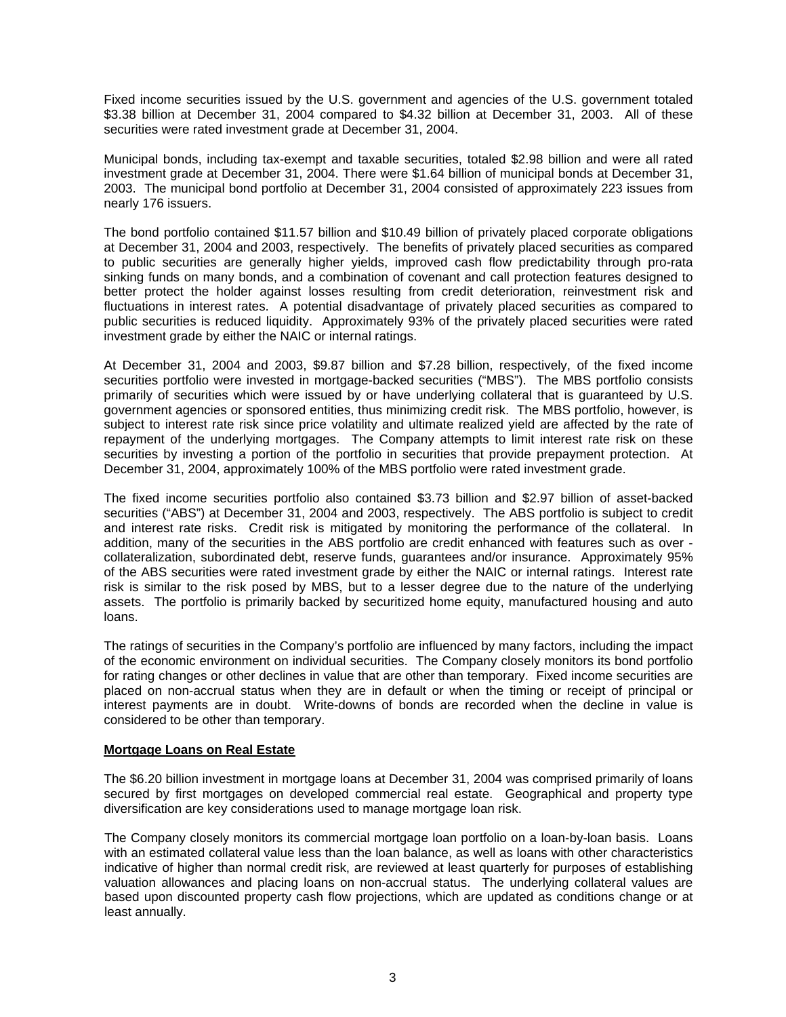Fixed income securities issued by the U.S. government and agencies of the U.S. government totaled \$3.38 billion at December 31, 2004 compared to \$4.32 billion at December 31, 2003. All of these securities were rated investment grade at December 31, 2004.

Municipal bonds, including tax-exempt and taxable securities, totaled \$2.98 billion and were all rated investment grade at December 31, 2004. There were \$1.64 billion of municipal bonds at December 31, 2003. The municipal bond portfolio at December 31, 2004 consisted of approximately 223 issues from nearly 176 issuers.

The bond portfolio contained \$11.57 billion and \$10.49 billion of privately placed corporate obligations at December 31, 2004 and 2003, respectively. The benefits of privately placed securities as compared to public securities are generally higher yields, improved cash flow predictability through pro-rata sinking funds on many bonds, and a combination of covenant and call protection features designed to better protect the holder against losses resulting from credit deterioration, reinvestment risk and fluctuations in interest rates. A potential disadvantage of privately placed securities as compared to public securities is reduced liquidity. Approximately 93% of the privately placed securities were rated investment grade by either the NAIC or internal ratings.

At December 31, 2004 and 2003, \$9.87 billion and \$7.28 billion, respectively, of the fixed income securities portfolio were invested in mortgage-backed securities ("MBS"). The MBS portfolio consists primarily of securities which were issued by or have underlying collateral that is guaranteed by U.S. government agencies or sponsored entities, thus minimizing credit risk. The MBS portfolio, however, is subject to interest rate risk since price volatility and ultimate realized yield are affected by the rate of repayment of the underlying mortgages. The Company attempts to limit interest rate risk on these securities by investing a portion of the portfolio in securities that provide prepayment protection. At December 31, 2004, approximately 100% of the MBS portfolio were rated investment grade.

The fixed income securities portfolio also contained \$3.73 billion and \$2.97 billion of asset-backed securities ("ABS") at December 31, 2004 and 2003, respectively. The ABS portfolio is subject to credit and interest rate risks. Credit risk is mitigated by monitoring the performance of the collateral. In addition, many of the securities in the ABS portfolio are credit enhanced with features such as over collateralization, subordinated debt, reserve funds, guarantees and/or insurance. Approximately 95% of the ABS securities were rated investment grade by either the NAIC or internal ratings. Interest rate risk is similar to the risk posed by MBS, but to a lesser degree due to the nature of the underlying assets. The portfolio is primarily backed by securitized home equity, manufactured housing and auto loans.

The ratings of securities in the Company's portfolio are influenced by many factors, including the impact of the economic environment on individual securities. The Company closely monitors its bond portfolio for rating changes or other declines in value that are other than temporary. Fixed income securities are placed on non-accrual status when they are in default or when the timing or receipt of principal or interest payments are in doubt. Write-downs of bonds are recorded when the decline in value is considered to be other than temporary.

## **Mortgage Loans on Real Estate**

The \$6.20 billion investment in mortgage loans at December 31, 2004 was comprised primarily of loans secured by first mortgages on developed commercial real estate. Geographical and property type diversification are key considerations used to manage mortgage loan risk.

The Company closely monitors its commercial mortgage loan portfolio on a loan-by-loan basis. Loans with an estimated collateral value less than the loan balance, as well as loans with other characteristics indicative of higher than normal credit risk, are reviewed at least quarterly for purposes of establishing valuation allowances and placing loans on non-accrual status. The underlying collateral values are based upon discounted property cash flow projections, which are updated as conditions change or at least annually.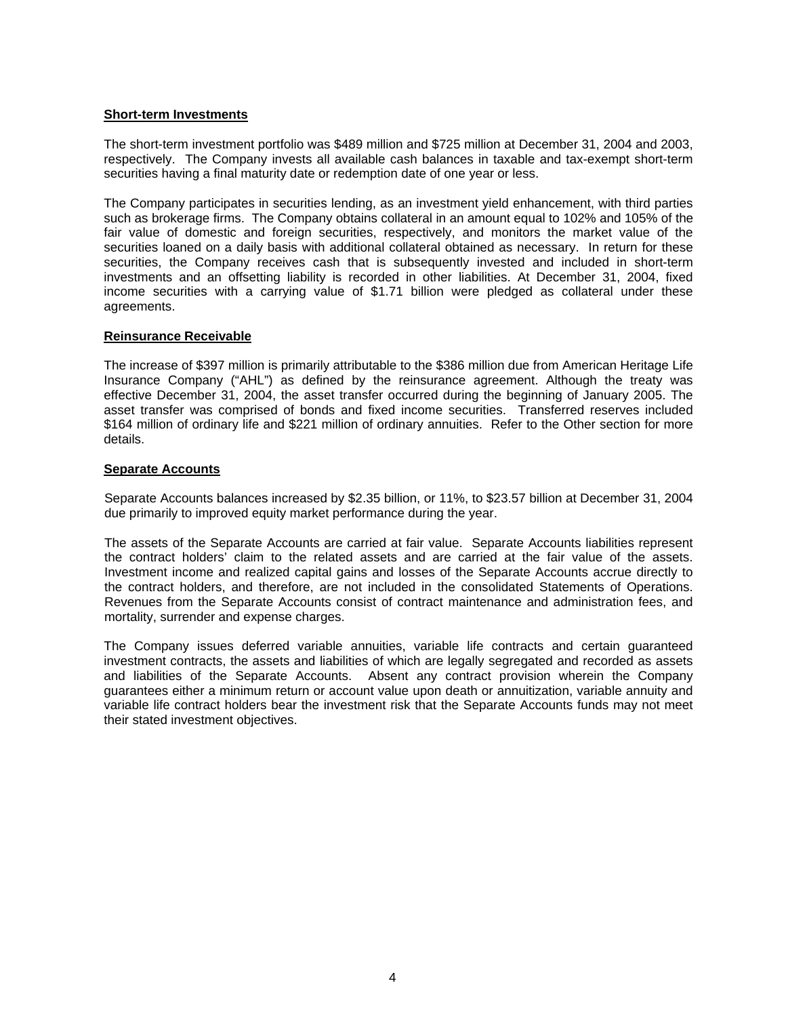## **Short-term Investments**

The short-term investment portfolio was \$489 million and \$725 million at December 31, 2004 and 2003, respectively. The Company invests all available cash balances in taxable and tax-exempt short-term securities having a final maturity date or redemption date of one year or less.

The Company participates in securities lending, as an investment yield enhancement, with third parties such as brokerage firms. The Company obtains collateral in an amount equal to 102% and 105% of the fair value of domestic and foreign securities, respectively, and monitors the market value of the securities loaned on a daily basis with additional collateral obtained as necessary. In return for these securities, the Company receives cash that is subsequently invested and included in short-term investments and an offsetting liability is recorded in other liabilities. At December 31, 2004, fixed income securities with a carrying value of \$1.71 billion were pledged as collateral under these agreements.

# **Reinsurance Receivable**

The increase of \$397 million is primarily attributable to the \$386 million due from American Heritage Life Insurance Company ("AHL") as defined by the reinsurance agreement. Although the treaty was effective December 31, 2004, the asset transfer occurred during the beginning of January 2005. The asset transfer was comprised of bonds and fixed income securities. Transferred reserves included \$164 million of ordinary life and \$221 million of ordinary annuities. Refer to the Other section for more details.

# **Separate Accounts**

Separate Accounts balances increased by \$2.35 billion, or 11%, to \$23.57 billion at December 31, 2004 due primarily to improved equity market performance during the year.

The assets of the Separate Accounts are carried at fair value. Separate Accounts liabilities represent the contract holders' claim to the related assets and are carried at the fair value of the assets. Investment income and realized capital gains and losses of the Separate Accounts accrue directly to the contract holders, and therefore, are not included in the consolidated Statements of Operations. Revenues from the Separate Accounts consist of contract maintenance and administration fees, and mortality, surrender and expense charges.

The Company issues deferred variable annuities, variable life contracts and certain guaranteed investment contracts, the assets and liabilities of which are legally segregated and recorded as assets and liabilities of the Separate Accounts. Absent any contract provision wherein the Company guarantees either a minimum return or account value upon death or annuitization, variable annuity and variable life contract holders bear the investment risk that the Separate Accounts funds may not meet their stated investment objectives.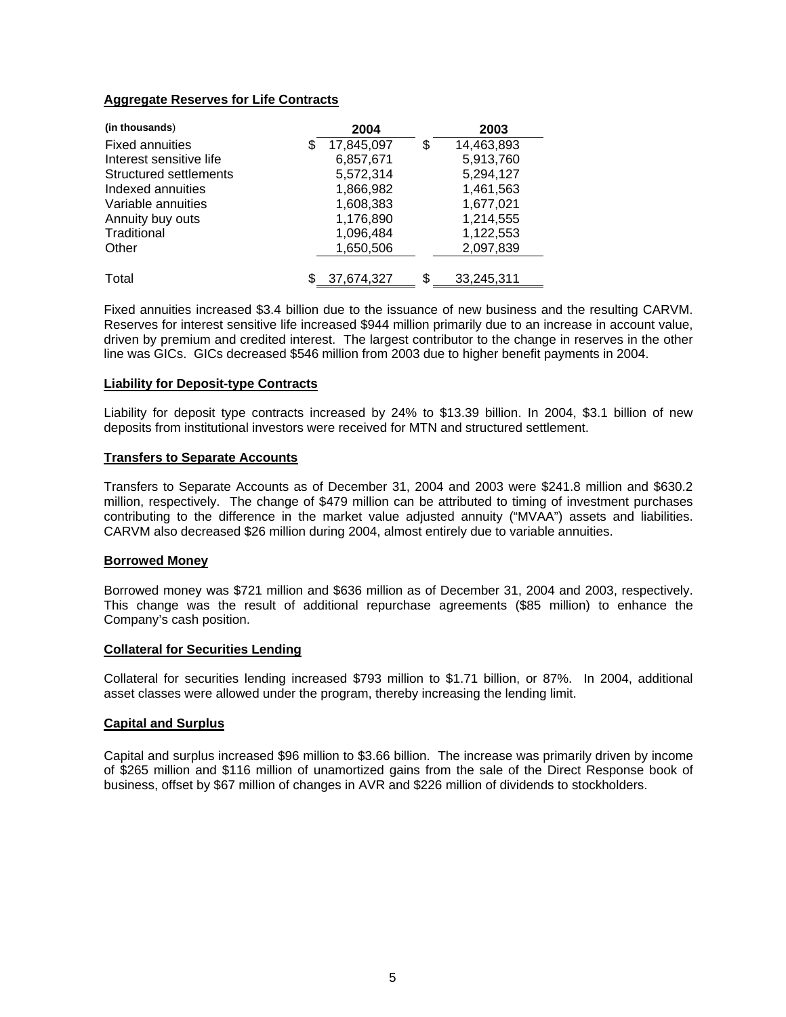# **Aggregate Reserves for Life Contracts**

| (in thousands)          |   | 2004       |   | 2003       |
|-------------------------|---|------------|---|------------|
| <b>Fixed annuities</b>  | S | 17,845,097 | S | 14,463,893 |
| Interest sensitive life |   | 6,857,671  |   | 5,913,760  |
| Structured settlements  |   | 5,572,314  |   | 5,294,127  |
| Indexed annuities       |   | 1,866,982  |   | 1,461,563  |
| Variable annuities      |   | 1,608,383  |   | 1,677,021  |
| Annuity buy outs        |   | 1,176,890  |   | 1,214,555  |
| Traditional             |   | 1,096,484  |   | 1,122,553  |
| Other                   |   | 1,650,506  |   | 2,097,839  |
|                         |   |            |   |            |
| Total                   |   | 37,674,327 |   | 33.245.311 |

Fixed annuities increased \$3.4 billion due to the issuance of new business and the resulting CARVM. Reserves for interest sensitive life increased \$944 million primarily due to an increase in account value, driven by premium and credited interest. The largest contributor to the change in reserves in the other line was GICs. GICs decreased \$546 million from 2003 due to higher benefit payments in 2004.

### **Liability for Deposit-type Contracts**

Liability for deposit type contracts increased by 24% to \$13.39 billion. In 2004, \$3.1 billion of new deposits from institutional investors were received for MTN and structured settlement.

### **Transfers to Separate Accounts**

Transfers to Separate Accounts as of December 31, 2004 and 2003 were \$241.8 million and \$630.2 million, respectively. The change of \$479 million can be attributed to timing of investment purchases contributing to the difference in the market value adjusted annuity ("MVAA") assets and liabilities. CARVM also decreased \$26 million during 2004, almost entirely due to variable annuities.

## **Borrowed Money**

Borrowed money was \$721 million and \$636 million as of December 31, 2004 and 2003, respectively. This change was the result of additional repurchase agreements (\$85 million) to enhance the Company's cash position.

## **Collateral for Securities Lending**

Collateral for securities lending increased \$793 million to \$1.71 billion, or 87%. In 2004, additional asset classes were allowed under the program, thereby increasing the lending limit.

## **Capital and Surplus**

Capital and surplus increased \$96 million to \$3.66 billion. The increase was primarily driven by income of \$265 million and \$116 million of unamortized gains from the sale of the Direct Response book of business, offset by \$67 million of changes in AVR and \$226 million of dividends to stockholders.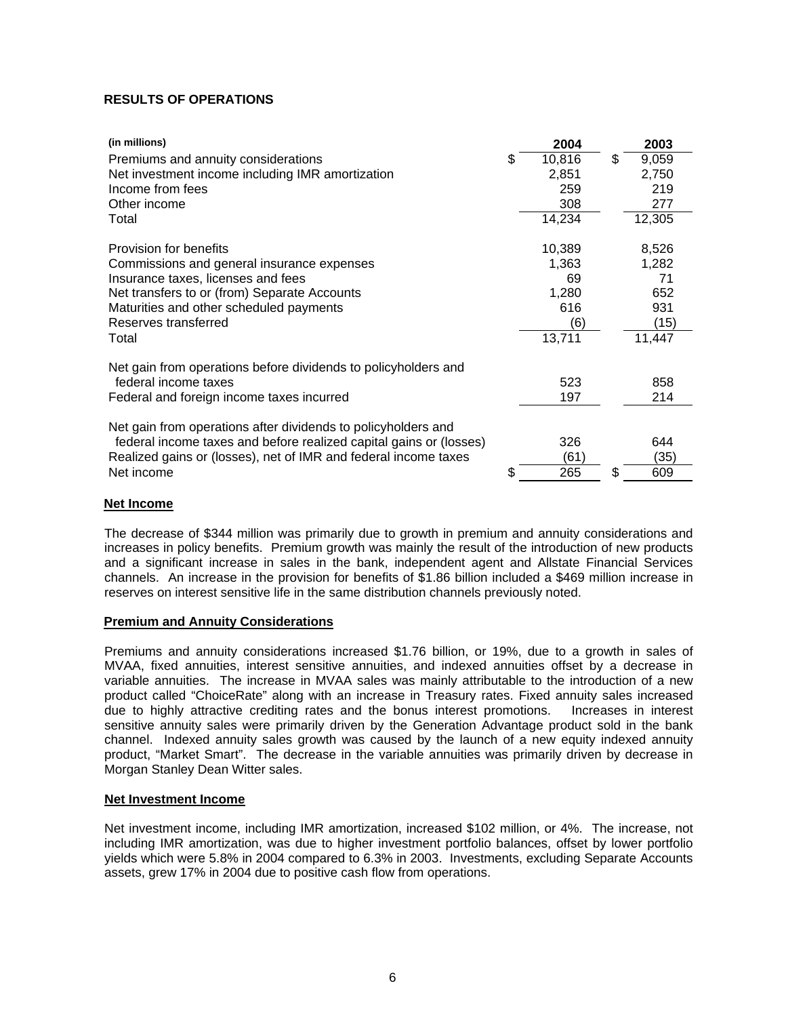# **RESULTS OF OPERATIONS**

| (in millions)                                                      |    | 2004   |    | 2003   |
|--------------------------------------------------------------------|----|--------|----|--------|
| Premiums and annuity considerations                                | S  | 10,816 | \$ | 9,059  |
| Net investment income including IMR amortization                   |    | 2,851  |    | 2,750  |
| Income from fees                                                   |    | 259    |    | 219    |
| Other income                                                       |    | 308    |    | 277    |
| Total                                                              |    | 14,234 |    | 12,305 |
| Provision for benefits                                             |    | 10,389 |    | 8,526  |
| Commissions and general insurance expenses                         |    | 1,363  |    | 1,282  |
| Insurance taxes, licenses and fees                                 |    | 69     |    | 71     |
| Net transfers to or (from) Separate Accounts                       |    | 1,280  |    | 652    |
| Maturities and other scheduled payments                            |    | 616    |    | 931    |
| Reserves transferred                                               |    | (6)    |    | (15)   |
| Total                                                              |    | 13,711 |    | 11,447 |
| Net gain from operations before dividends to policyholders and     |    |        |    |        |
| federal income taxes                                               |    | 523    |    | 858    |
| Federal and foreign income taxes incurred                          |    | 197    |    | 214    |
| Net gain from operations after dividends to policyholders and      |    |        |    |        |
| federal income taxes and before realized capital gains or (losses) |    | 326    |    | 644    |
| Realized gains or (losses), net of IMR and federal income taxes    |    | (61)   |    | (35)   |
| Net income                                                         | \$ | 265    | S  | 609    |

## **Net Income**

The decrease of \$344 million was primarily due to growth in premium and annuity considerations and increases in policy benefits. Premium growth was mainly the result of the introduction of new products and a significant increase in sales in the bank, independent agent and Allstate Financial Services channels. An increase in the provision for benefits of \$1.86 billion included a \$469 million increase in reserves on interest sensitive life in the same distribution channels previously noted.

# **Premium and Annuity Considerations**

Premiums and annuity considerations increased \$1.76 billion, or 19%, due to a growth in sales of MVAA, fixed annuities, interest sensitive annuities, and indexed annuities offset by a decrease in variable annuities. The increase in MVAA sales was mainly attributable to the introduction of a new product called "ChoiceRate" along with an increase in Treasury rates. Fixed annuity sales increased due to highly attractive crediting rates and the bonus interest promotions. Increases in interest sensitive annuity sales were primarily driven by the Generation Advantage product sold in the bank channel. Indexed annuity sales growth was caused by the launch of a new equity indexed annuity product, "Market Smart". The decrease in the variable annuities was primarily driven by decrease in Morgan Stanley Dean Witter sales.

## **Net Investment Income**

Net investment income, including IMR amortization, increased \$102 million, or 4%. The increase, not including IMR amortization, was due to higher investment portfolio balances, offset by lower portfolio yields which were 5.8% in 2004 compared to 6.3% in 2003. Investments, excluding Separate Accounts assets, grew 17% in 2004 due to positive cash flow from operations.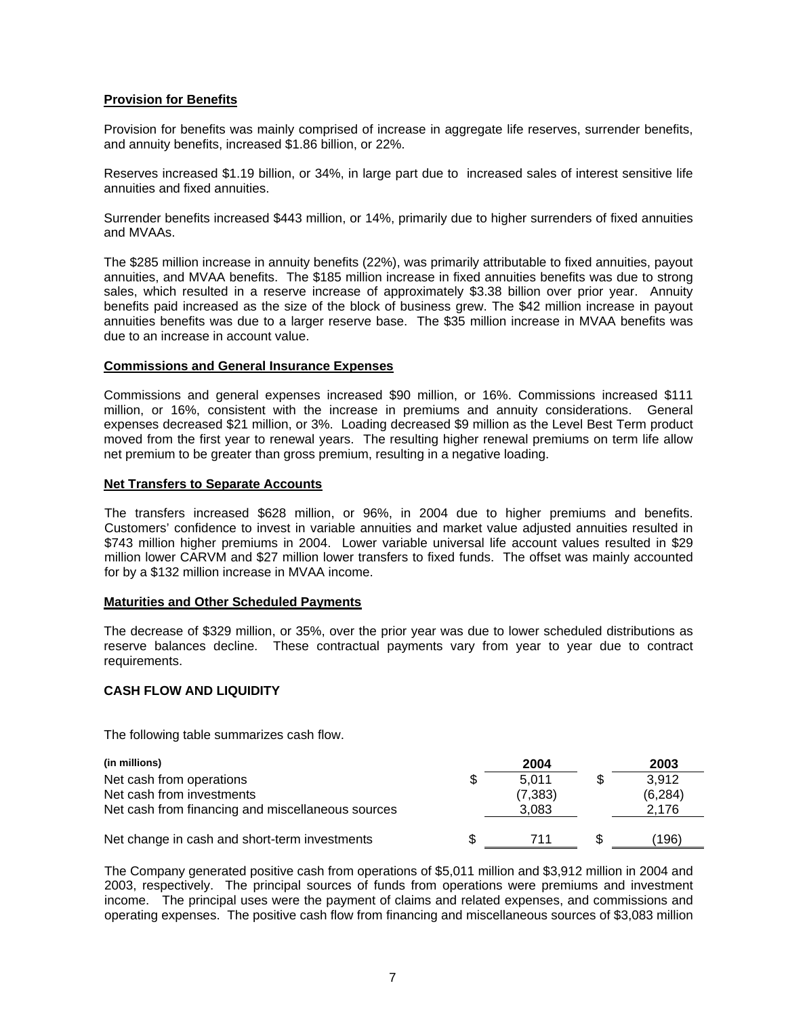# **Provision for Benefits**

Provision for benefits was mainly comprised of increase in aggregate life reserves, surrender benefits, and annuity benefits, increased \$1.86 billion, or 22%.

Reserves increased \$1.19 billion, or 34%, in large part due to increased sales of interest sensitive life annuities and fixed annuities.

Surrender benefits increased \$443 million, or 14%, primarily due to higher surrenders of fixed annuities and MVAAs.

The \$285 million increase in annuity benefits (22%), was primarily attributable to fixed annuities, payout annuities, and MVAA benefits. The \$185 million increase in fixed annuities benefits was due to strong sales, which resulted in a reserve increase of approximately \$3.38 billion over prior year. Annuity benefits paid increased as the size of the block of business grew. The \$42 million increase in payout annuities benefits was due to a larger reserve base. The \$35 million increase in MVAA benefits was due to an increase in account value.

### **Commissions and General Insurance Expenses**

Commissions and general expenses increased \$90 million, or 16%. Commissions increased \$111 million, or 16%, consistent with the increase in premiums and annuity considerations. General expenses decreased \$21 million, or 3%. Loading decreased \$9 million as the Level Best Term product moved from the first year to renewal years. The resulting higher renewal premiums on term life allow net premium to be greater than gross premium, resulting in a negative loading.

### **Net Transfers to Separate Accounts**

The transfers increased \$628 million, or 96%, in 2004 due to higher premiums and benefits. Customers' confidence to invest in variable annuities and market value adjusted annuities resulted in \$743 million higher premiums in 2004. Lower variable universal life account values resulted in \$29 million lower CARVM and \$27 million lower transfers to fixed funds. The offset was mainly accounted for by a \$132 million increase in MVAA income.

#### **Maturities and Other Scheduled Payments**

The decrease of \$329 million, or 35%, over the prior year was due to lower scheduled distributions as reserve balances decline. These contractual payments vary from year to year due to contract requirements.

#### **CASH FLOW AND LIQUIDITY**

The following table summarizes cash flow.

| (in millions)                                     | 2004        | 2003        |
|---------------------------------------------------|-------------|-------------|
| Net cash from operations                          | \$<br>5.011 | \$<br>3.912 |
| Net cash from investments                         | (7, 383)    | (6, 284)    |
| Net cash from financing and miscellaneous sources | 3.083       | 2.176       |
| Net change in cash and short-term investments     | 711         | (196)       |

The Company generated positive cash from operations of \$5,011 million and \$3,912 million in 2004 and 2003, respectively. The principal sources of funds from operations were premiums and investment income. The principal uses were the payment of claims and related expenses, and commissions and operating expenses. The positive cash flow from financing and miscellaneous sources of \$3,083 million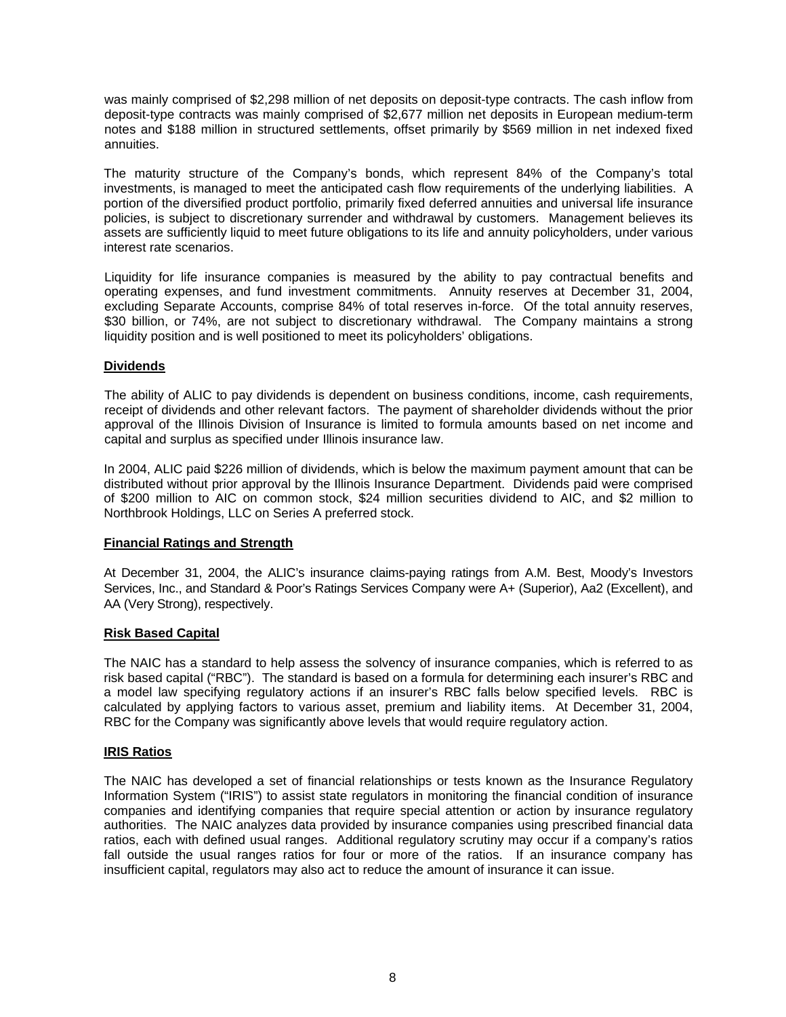was mainly comprised of \$2,298 million of net deposits on deposit-type contracts. The cash inflow from deposit-type contracts was mainly comprised of \$2,677 million net deposits in European medium-term notes and \$188 million in structured settlements, offset primarily by \$569 million in net indexed fixed annuities.

The maturity structure of the Company's bonds, which represent 84% of the Company's total investments, is managed to meet the anticipated cash flow requirements of the underlying liabilities. A portion of the diversified product portfolio, primarily fixed deferred annuities and universal life insurance policies, is subject to discretionary surrender and withdrawal by customers. Management believes its assets are sufficiently liquid to meet future obligations to its life and annuity policyholders, under various interest rate scenarios.

Liquidity for life insurance companies is measured by the ability to pay contractual benefits and operating expenses, and fund investment commitments. Annuity reserves at December 31, 2004, excluding Separate Accounts, comprise 84% of total reserves in-force. Of the total annuity reserves, \$30 billion, or 74%, are not subject to discretionary withdrawal. The Company maintains a strong liquidity position and is well positioned to meet its policyholders' obligations.

# **Dividends**

The ability of ALIC to pay dividends is dependent on business conditions, income, cash requirements, receipt of dividends and other relevant factors. The payment of shareholder dividends without the prior approval of the Illinois Division of Insurance is limited to formula amounts based on net income and capital and surplus as specified under Illinois insurance law.

In 2004, ALIC paid \$226 million of dividends, which is below the maximum payment amount that can be distributed without prior approval by the Illinois Insurance Department. Dividends paid were comprised of \$200 million to AIC on common stock, \$24 million securities dividend to AIC, and \$2 million to Northbrook Holdings, LLC on Series A preferred stock.

## **Financial Ratings and Strength**

At December 31, 2004, the ALIC's insurance claims-paying ratings from A.M. Best, Moody's Investors Services, Inc., and Standard & Poor's Ratings Services Company were A+ (Superior), Aa2 (Excellent), and AA (Very Strong), respectively.

## **Risk Based Capital**

The NAIC has a standard to help assess the solvency of insurance companies, which is referred to as risk based capital ("RBC"). The standard is based on a formula for determining each insurer's RBC and a model law specifying regulatory actions if an insurer's RBC falls below specified levels. RBC is calculated by applying factors to various asset, premium and liability items. At December 31, 2004, RBC for the Company was significantly above levels that would require regulatory action.

# **IRIS Ratios**

The NAIC has developed a set of financial relationships or tests known as the Insurance Regulatory Information System ("IRIS") to assist state regulators in monitoring the financial condition of insurance companies and identifying companies that require special attention or action by insurance regulatory authorities. The NAIC analyzes data provided by insurance companies using prescribed financial data ratios, each with defined usual ranges. Additional regulatory scrutiny may occur if a company's ratios fall outside the usual ranges ratios for four or more of the ratios. If an insurance company has insufficient capital, regulators may also act to reduce the amount of insurance it can issue.